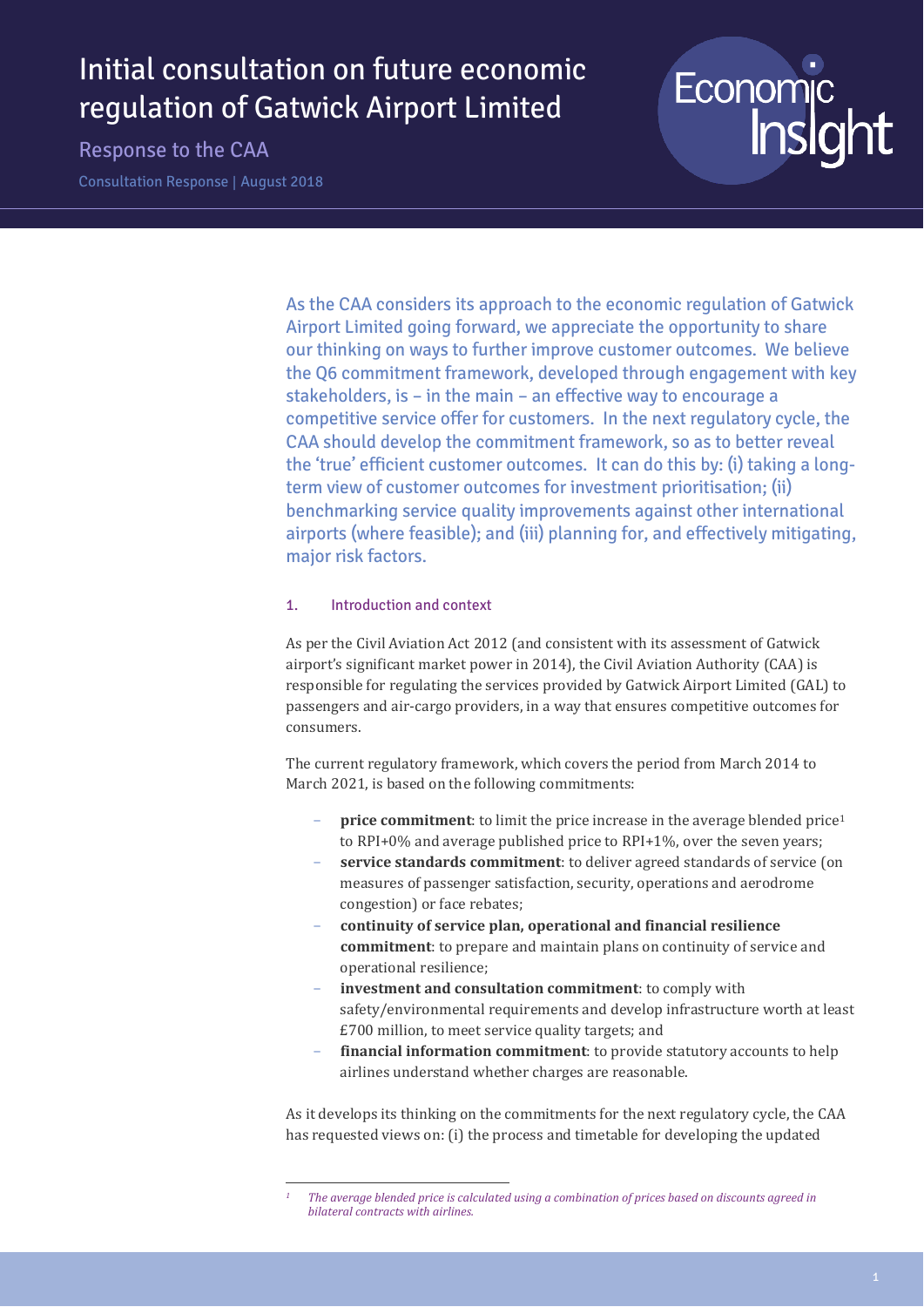# Initial consultation on future economic regulation of Gatwick Airport Limited

Response to the CAA

Consultation Response | August 2018



As the CAA considers its approach to the economic regulation of Gatwick Airport Limited going forward, we appreciate the opportunity to share our thinking on ways to further improve customer outcomes. We believe the Q6 commitment framework, developed through engagement with key stakeholders, is – in the main – an effective way to encourage a competitive service offer for customers. In the next regulatory cycle, the CAA should develop the commitment framework, so as to better reveal the 'true' efficient customer outcomes. It can do this by: (i) taking a longterm view of customer outcomes for investment prioritisation; (ii) benchmarking service quality improvements against other international airports (where feasible); and (iii) planning for, and effectively mitigating, major risk factors.

## 1. Introduction and context

 $\overline{a}$ 

As per the Civil Aviation Act 2012 (and consistent with its assessment of Gatwick airport's significant market power in 2014), the Civil Aviation Authority (CAA) is responsible for regulating the services provided by Gatwick Airport Limited (GAL) to passengers and air-cargo providers, in a way that ensures competitive outcomes for consumers.

The current regulatory framework, which covers the period from March 2014 to March 2021, is based on the following commitments:

- **price commitment**: to limit the price increase in the average blended price<sup>1</sup> to RPI+0% and average published price to RPI+1%, over the seven years;
- service standards commitment: to deliver agreed standards of service (on measures of passenger satisfaction, security, operations and aerodrome congestion) or face rebates;
- **continuity of service plan, operational and financial resilience commitment**: to prepare and maintain plans on continuity of service and operational resilience;
- investment and consultation commitment: to comply with safety/environmental requirements and develop infrastructure worth at least £700 million, to meet service quality targets; and
- financial information commitment: to provide statutory accounts to help airlines understand whether charges are reasonable.

As it develops its thinking on the commitments for the next regulatory cycle, the CAA has requested views on: (i) the process and timetable for developing the updated

*<sup>1</sup> The average blended price is calculated using a combination of prices based on discounts agreed in bilateral contracts with airlines.*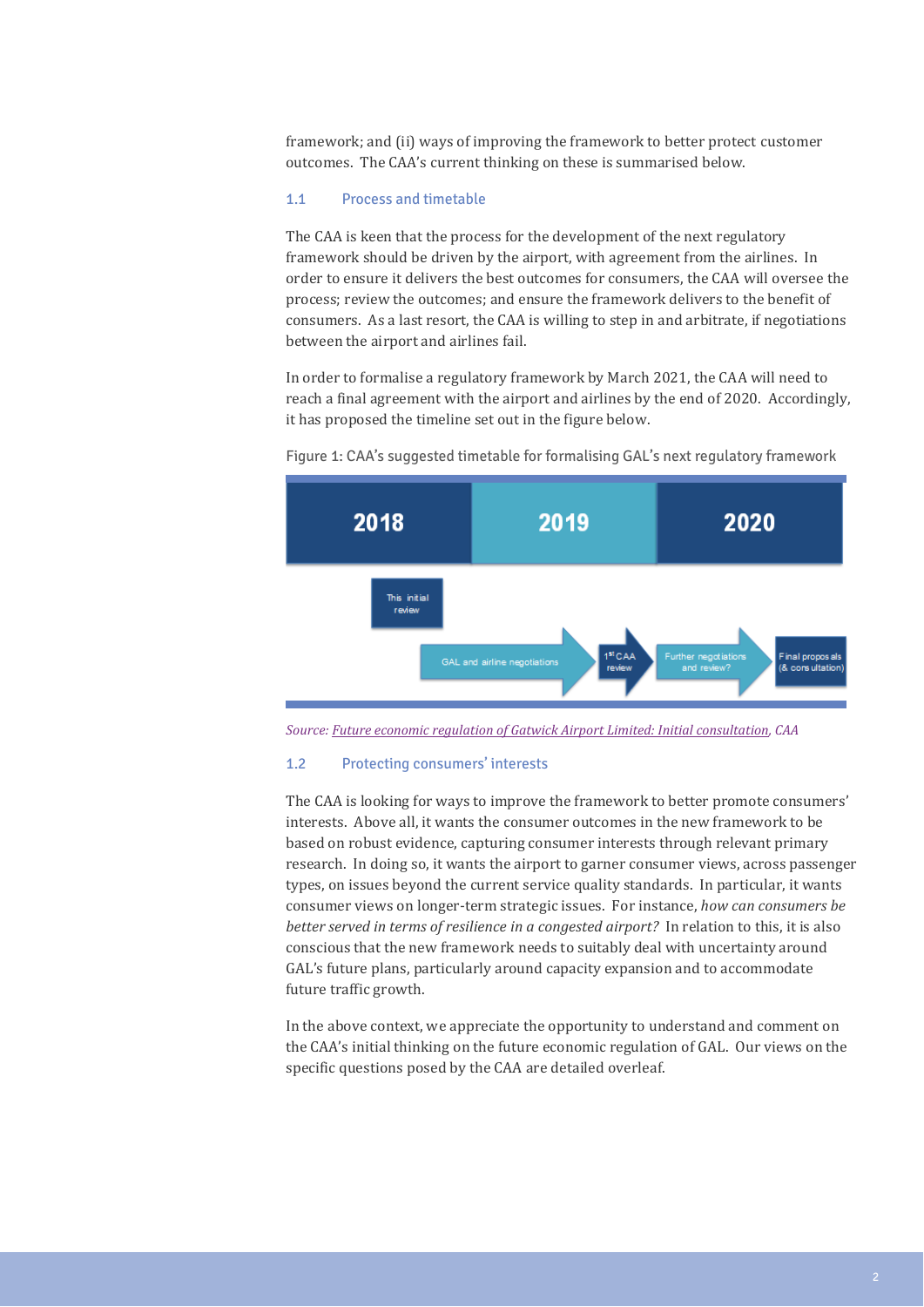framework; and (ii) ways of improving the framework to better protect customer outcomes. The CAA's current thinking on these is summarised below.

# 1.1 Process and timetable

The CAA is keen that the process for the development of the next regulatory framework should be driven by the airport, with agreement from the airlines. In order to ensure it delivers the best outcomes for consumers, the CAA will oversee the process; review the outcomes; and ensure the framework delivers to the benefit of consumers. As a last resort, the CAA is willing to step in and arbitrate, if negotiations between the airport and airlines fail.

In order to formalise a regulatory framework by March 2021, the CAA will need to reach a final agreement with the airport and airlines by the end of 2020. Accordingly, it has proposed the timeline set out in the figure below.



Figure 1: CAA's suggested timetable for formalising GAL's next regulatory framework

*Source: Future economic regulation of Gatwick Airport Limited: Initial consultation, CAA*

#### 1.2 Protecting consumers' interests

The CAA is looking for ways to improve the framework to better promote consumers' interests. Above all, it wants the consumer outcomes in the new framework to be based on robust evidence, capturing consumer interests through relevant primary research. In doing so, it wants the airport to garner consumer views, across passenger types, on issues beyond the current service quality standards. In particular, it wants consumer views on longer-term strategic issues. For instance, *how can consumers be better served in terms of resilience in a congested airport?* In relation to this, it is also conscious that the new framework needs to suitably deal with uncertainty around GAL's future plans, particularly around capacity expansion and to accommodate future traffic growth.

In the above context, we appreciate the opportunity to understand and comment on the CAA's initial thinking on the future economic regulation of GAL. Our views on the specific questions posed by the CAA are detailed overleaf.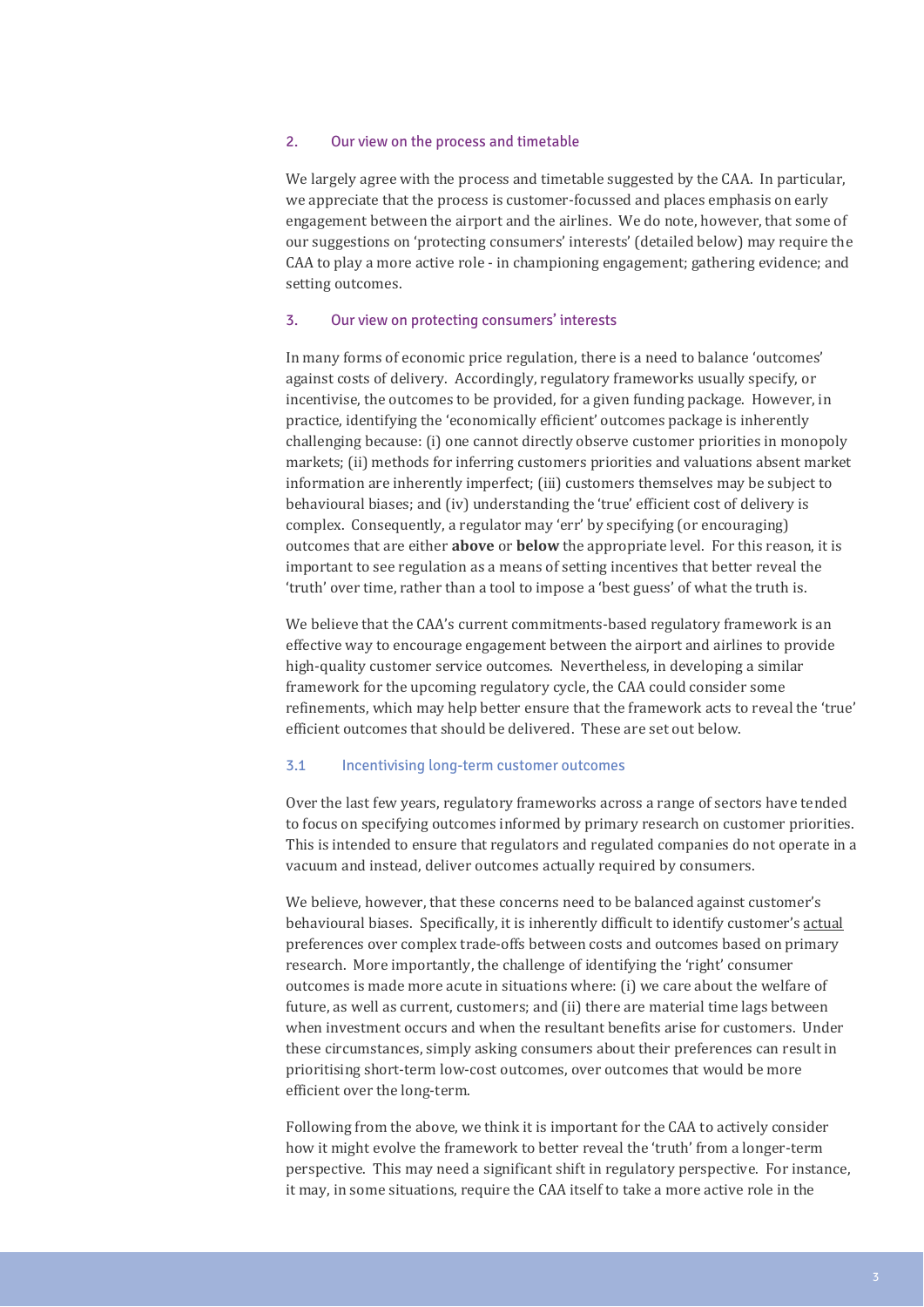#### 2. Our view on the process and timetable

We largely agree with the process and timetable suggested by the CAA. In particular, we appreciate that the process is customer-focussed and places emphasis on early engagement between the airport and the airlines. We do note, however, that some of our suggestions on 'protecting consumers' interests' (detailed below) may require the CAA to play a more active role - in championing engagement; gathering evidence; and setting outcomes.

#### 3. Our view on protecting consumers' interests

In many forms of economic price regulation, there is a need to balance 'outcomes' against costs of delivery. Accordingly, regulatory frameworks usually specify, or incentivise, the outcomes to be provided, for a given funding package. However, in practice, identifying the 'economically efficient' outcomes package is inherently challenging because: (i) one cannot directly observe customer priorities in monopoly markets; (ii) methods for inferring customers priorities and valuations absent market information are inherently imperfect; (iii) customers themselves may be subject to behavioural biases; and (iv) understanding the 'true' efficient cost of delivery is complex. Consequently, a regulator may 'err' by specifying (or encouraging) outcomes that are either **above** or **below** the appropriate level. For this reason, it is important to see regulation as a means of setting incentives that better reveal the 'truth' over time, rather than a tool to impose a 'best guess' of what the truth is.

We believe that the CAA's current commitments-based regulatory framework is an effective way to encourage engagement between the airport and airlines to provide high-quality customer service outcomes. Nevertheless, in developing a similar framework for the upcoming regulatory cycle, the CAA could consider some refinements, which may help better ensure that the framework acts to reveal the 'true' efficient outcomes that should be delivered. These are set out below.

### 3.1 Incentivising long-term customer outcomes

Over the last few years, regulatory frameworks across a range of sectors have tended to focus on specifying outcomes informed by primary research on customer priorities. This is intended to ensure that regulators and regulated companies do not operate in a vacuum and instead, deliver outcomes actually required by consumers.

We believe, however, that these concerns need to be balanced against customer's behavioural biases. Specifically, it is inherently difficult to identify customer's actual preferences over complex trade-offs between costs and outcomes based on primary research. More importantly, the challenge of identifying the 'right' consumer outcomes is made more acute in situations where: (i) we care about the welfare of future, as well as current, customers; and (ii) there are material time lags between when investment occurs and when the resultant benefits arise for customers. Under these circumstances, simply asking consumers about their preferences can result in prioritising short-term low-cost outcomes, over outcomes that would be more efficient over the long-term.

Following from the above, we think it is important for the CAA to actively consider how it might evolve the framework to better reveal the 'truth' from a longer-term perspective. This may need a significant shift in regulatory perspective. For instance, it may, in some situations, require the CAA itself to take a more active role in the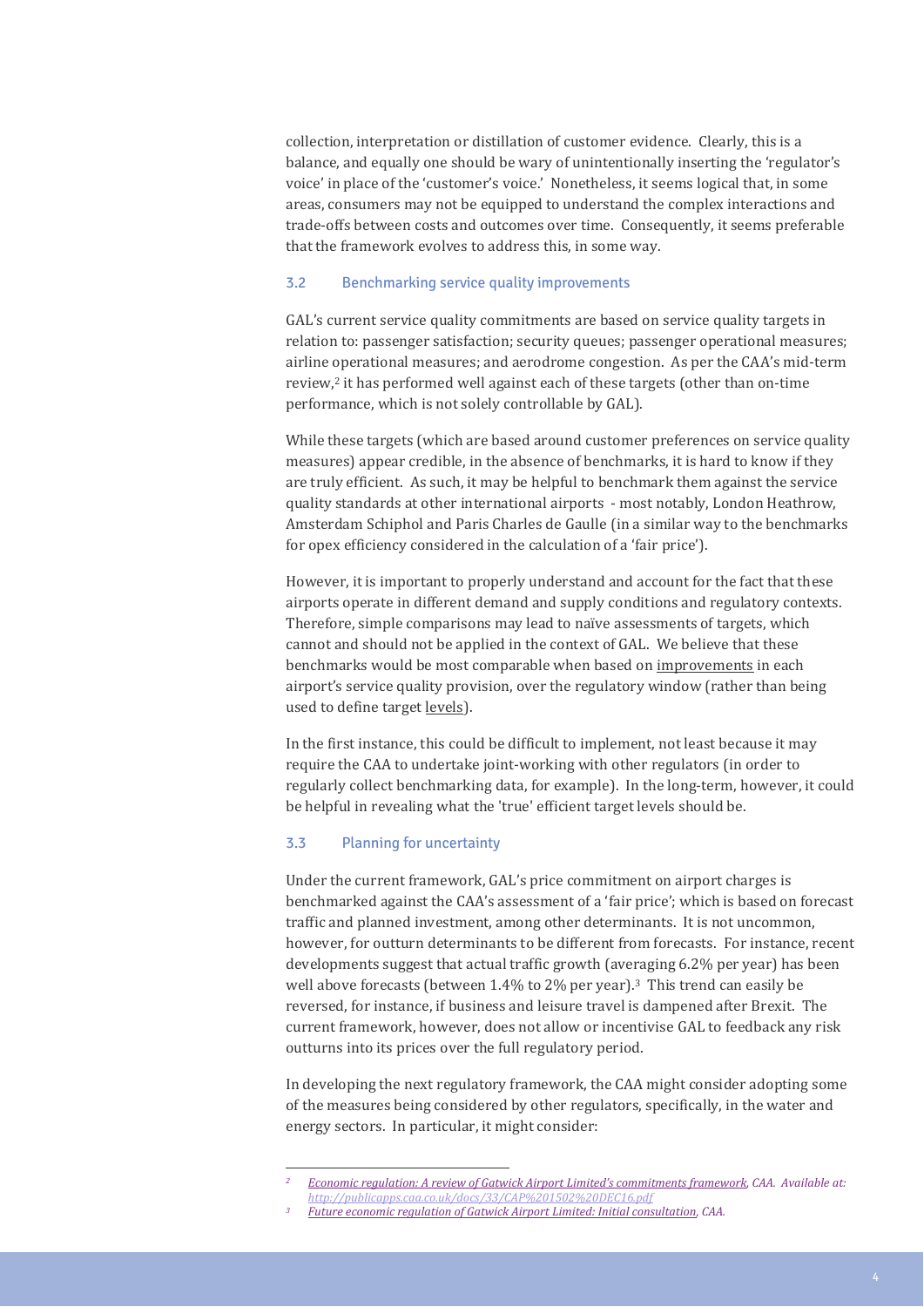collection, interpretation or distillation of customer evidence. Clearly, this is a balance, and equally one should be wary of unintentionally inserting the 'regulator's voice' in place of the 'customer's voice.' Nonetheless, it seems logical that, in some areas, consumers may not be equipped to understand the complex interactions and trade-offs between costs and outcomes over time. Consequently, it seems preferable that the framework evolves to address this, in some way.

#### 3.2 Benchmarking service quality improvements

GAL's current service quality commitments are based on service quality targets in relation to: passenger satisfaction; security queues; passenger operational measures; airline operational measures; and aerodrome congestion. As per the CAA's mid-term review,<sup>2</sup> it has performed well against each of these targets (other than on-time performance, which is not solely controllable by GAL).

While these targets (which are based around customer preferences on service quality measures) appear credible, in the absence of benchmarks, it is hard to know if they are truly efficient. As such, it may be helpful to benchmark them against the service quality standards at other international airports - most notably, London Heathrow, Amsterdam Schiphol and Paris Charles de Gaulle (in a similar way to the benchmarks for opex efficiency considered in the calculation of a 'fair price').

However, it is important to properly understand and account for the fact that these airports operate in different demand and supply conditions and regulatory contexts. Therefore, simple comparisons may lead to naïve assessments of targets, which cannot and should not be applied in the context of GAL. We believe that these benchmarks would be most comparable when based on improvements in each airport's service quality provision, over the regulatory window (rather than being used to define target levels).

In the first instance, this could be difficult to implement, not least because it may require the CAA to undertake joint-working with other regulators (in order to regularly collect benchmarking data, for example). In the long-term, however, it could be helpful in revealing what the 'true' efficient target levels should be.

# 3.3 Planning for uncertainty

 $\overline{a}$ 

Under the current framework, GAL's price commitment on airport charges is benchmarked against the CAA's assessment of a 'fair price'; which is based on forecast traffic and planned investment, among other determinants. It is not uncommon, however, for outturn determinants to be different from forecasts. For instance, recent developments suggest that actual traffic growth (averaging 6.2% per year) has been well above forecasts (between  $1.4\%$  to 2% per year).<sup>3</sup> This trend can easily be reversed, for instance, if business and leisure travel is dampened after Brexit. The current framework, however, does not allow or incentivise GAL to feedback any risk outturns into its prices over the full regulatory period.

In developing the next regulatory framework, the CAA might consider adopting some of the measures being considered by other regulators, specifically, in the water and energy sectors. In particular, it might consider:

*<sup>2</sup> Economic regulation: A review of Gatwick Airport Limited's commitments framework, CAA. Available at: <http://publicapps.caa.co.uk/docs/33/CAP%201502%20DEC16.pdf>*

*<sup>3</sup> Future economic regulation of Gatwick Airport Limited: Initial consultation, CAA.*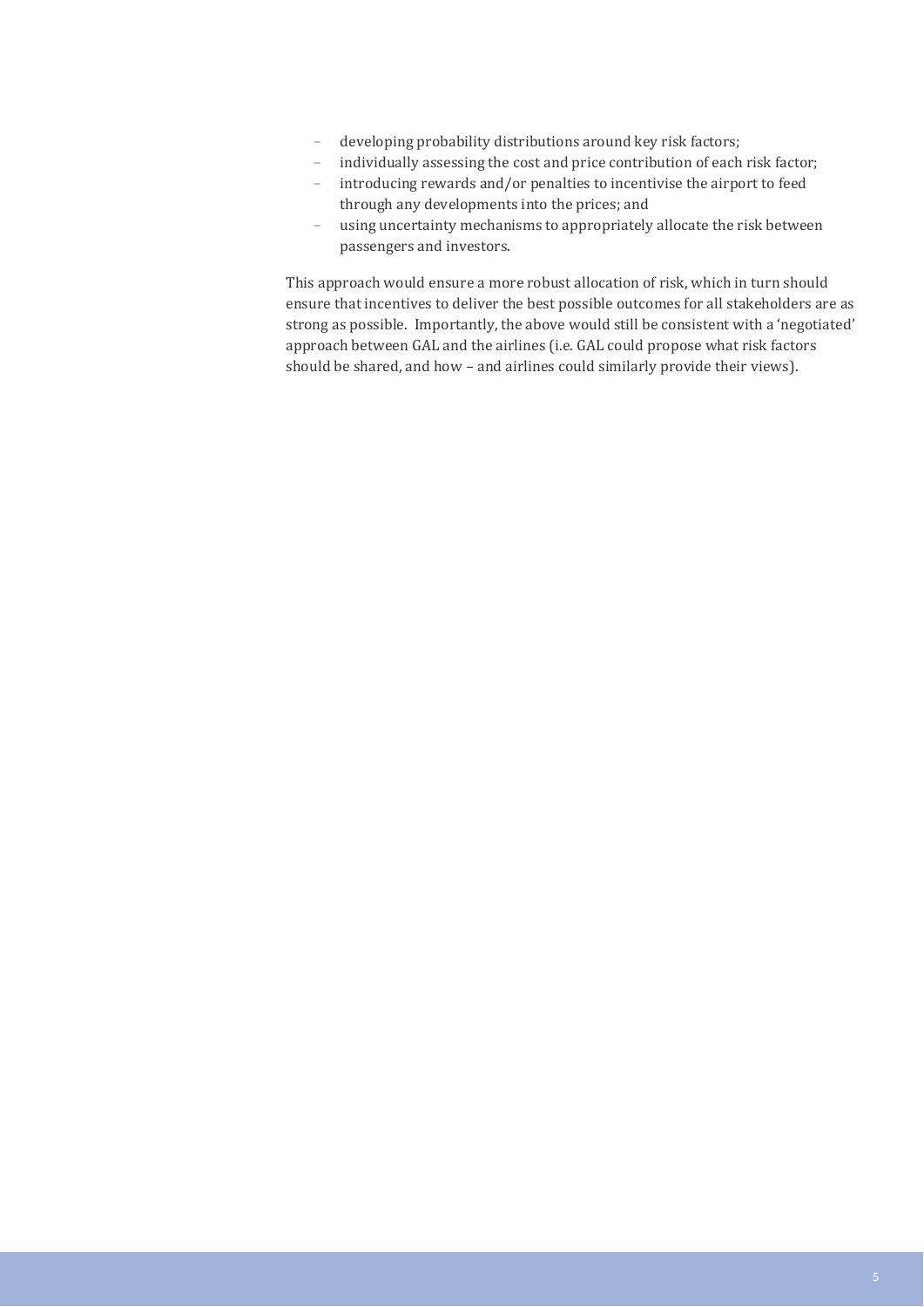- developing probability distributions around key risk factors;
- individually assessing the cost and price contribution of each risk factor;
- introducing rewards and/or penalties to incentivise the airport to feed through any developments into the prices; and
- using uncertainty mechanisms to appropriately allocate the risk between passengers and investors.

This approach would ensure a more robust allocation of risk, which in turn should ensure that incentives to deliver the best possible outcomes for all stakeholders are as strong as possible. Importantly, the above would still be consistent with a 'negotiated' approach between GAL and the airlines (i.e. GAL could propose what risk factors should be shared, and how – and airlines could similarly provide their views).